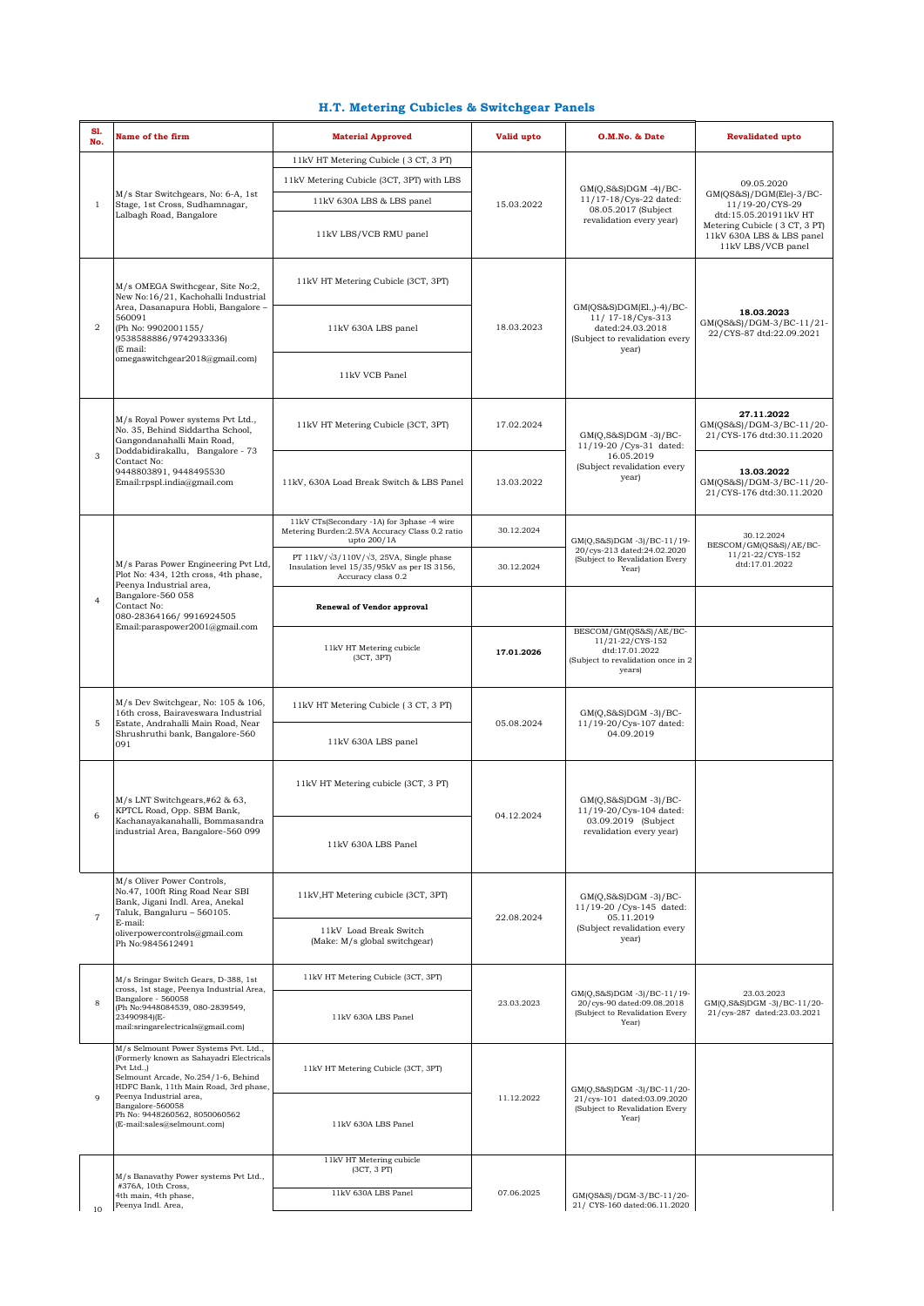## **H.T. Metering Cubicles & Switchgear Panels**

| S1.<br>No.     | Name of the firm                                                                                                                                                                                                                                                                               | <b>Material Approved</b>                                                                                                    | Valid upto | O.M.No. & Date                                                                                               | <b>Revalidated upto</b>                                                                                                                                               |
|----------------|------------------------------------------------------------------------------------------------------------------------------------------------------------------------------------------------------------------------------------------------------------------------------------------------|-----------------------------------------------------------------------------------------------------------------------------|------------|--------------------------------------------------------------------------------------------------------------|-----------------------------------------------------------------------------------------------------------------------------------------------------------------------|
| $\mathbf{1}$   | M/s Star Switchgears, No: 6-A, 1st<br>Stage, 1st Cross, Sudhamnagar,<br>Lalbagh Road, Bangalore                                                                                                                                                                                                | 11kV HT Metering Cubicle (3 CT, 3 PT)                                                                                       | 15.03.2022 | $GM(Q,S&S)DGM -4)/BC-$<br>11/17-18/Cys-22 dated:<br>08.05.2017 (Subject<br>revalidation every year)          | 09.05.2020<br>GM(QS&S)/DGM(Ele)-3/BC-<br>11/19-20/CYS-29<br>dtd:15.05.201911kV HT<br>Metering Cubicle (3 CT, 3 PT)<br>11kV 630A LBS & LBS panel<br>11kV LBS/VCB panel |
|                |                                                                                                                                                                                                                                                                                                | 11kV Metering Cubicle (3CT, 3PT) with LBS                                                                                   |            |                                                                                                              |                                                                                                                                                                       |
|                |                                                                                                                                                                                                                                                                                                | 11kV 630A LBS & LBS panel                                                                                                   |            |                                                                                                              |                                                                                                                                                                       |
|                |                                                                                                                                                                                                                                                                                                | 11kV LBS/VCB RMU panel                                                                                                      |            |                                                                                                              |                                                                                                                                                                       |
|                | M/s OMEGA Swithcgear, Site No:2,<br>New No:16/21, Kachohalli Industrial<br>Area, Dasanapura Hobli, Bangalore -<br>560091<br>(Ph No: 9902001155/<br>9538588886/9742933336)<br>(E mail:<br>omegaswitchgear2018@gmail.com)                                                                        | 11kV HT Metering Cubicle (3CT, 3PT)                                                                                         | 18.03.2023 | GM(QS&S)DGM(El.,)-4)/BC-<br>11/ 17-18/Cys-313<br>dated:24.03.2018<br>(Subject to revalidation every<br>year) |                                                                                                                                                                       |
| $\overline{2}$ |                                                                                                                                                                                                                                                                                                | 11kV 630A LBS panel                                                                                                         |            |                                                                                                              | 18.03.2023<br>GM(QS&S)/DGM-3/BC-11/21-<br>22/CYS-87 dtd:22.09.2021                                                                                                    |
|                |                                                                                                                                                                                                                                                                                                | 11kV VCB Panel                                                                                                              |            |                                                                                                              |                                                                                                                                                                       |
|                | M/s Royal Power systems Pvt Ltd.,<br>No. 35, Behind Siddartha School,<br>Gangondanahalli Main Road,<br>Doddabidirakallu, Bangalore - 73<br>Contact No:<br>9448803891, 9448495530<br>Email:rpspl.india@gmail.com                                                                                | 11kV HT Metering Cubicle (3CT, 3PT)                                                                                         | 17.02.2024 | $GM(Q, S&S)DGM -3)/BC-$<br>11/19-20 / Cys-31 dated:<br>16.05.2019<br>(Subject revalidation every<br>year)    | 27.11.2022<br>GM(QS&S)/DGM-3/BC-11/20-<br>21/CYS-176 dtd:30.11.2020                                                                                                   |
| 3              |                                                                                                                                                                                                                                                                                                | 11kV, 630A Load Break Switch & LBS Panel                                                                                    | 13.03.2022 |                                                                                                              | 13.03.2022<br>GM(QS&S)/DGM-3/BC-11/20-<br>21/CYS-176 dtd:30.11.2020                                                                                                   |
|                | M/s Paras Power Engineering Pvt Ltd,<br>Plot No: 434, 12th cross, 4th phase,<br>Peenya Industrial area,<br>Bangalore-560 058<br>Contact No:<br>080-28364166/9916924505<br>Email:paraspower2001@gmail.com                                                                                       | 11kV CTs(Secondary -1A) for 3phase -4 wire<br>Metering Burden: 2.5VA Accuracy Class 0.2 ratio<br>upto 200/1A                | 30.12.2024 | GM(Q,S&S)DGM-3)/BC-11/19-<br>20/cys-213 dated:24.02.2020<br>(Subject to Revalidation Every<br>Year)          | 30.12.2024<br>BESCOM/GM(QS&S)/AE/BC-<br>11/21-22/CYS-152<br>dtd:17.01.2022                                                                                            |
| $\overline{4}$ |                                                                                                                                                                                                                                                                                                | PT 11kV/ $\sqrt{3}/110V/\sqrt{3}$ , 25VA, Single phase<br>Insulation level 15/35/95kV as per IS 3156,<br>Accuracy class 0.2 | 30.12.2024 |                                                                                                              |                                                                                                                                                                       |
|                |                                                                                                                                                                                                                                                                                                | <b>Renewal of Vendor approval</b>                                                                                           |            |                                                                                                              |                                                                                                                                                                       |
|                |                                                                                                                                                                                                                                                                                                | 11kV HT Metering cubicle<br>(3CT, 3PT)                                                                                      | 17.01.2026 | BESCOM/GM(QS&S)/AE/BC-<br>11/21-22/CYS-152<br>dtd:17.01.2022<br>(Subject to revalidation once in 2<br>years) |                                                                                                                                                                       |
|                | $M/s$ Dev Switchgear, No: 105 & 106,<br>16th cross, Bairaveswara Industrial<br>Estate, Andrahalli Main Road, Near<br>Shrushruthi bank, Bangalore-560<br>091                                                                                                                                    | 11kV HT Metering Cubicle (3 CT, 3 PT)                                                                                       | 05.08.2024 | $GM(Q, S&S)DGM -3)/BC-$<br>11/19-20/Cys-107 dated:<br>04.09.2019                                             |                                                                                                                                                                       |
| 5              |                                                                                                                                                                                                                                                                                                | 11kV 630A LBS panel                                                                                                         |            |                                                                                                              |                                                                                                                                                                       |
|                | M/s LNT Switchgears,#62 & 63,<br>KPTCL Road, Opp. SBM Bank,<br>Kachanayakanahalli, Bommasandra<br>industrial Area, Bangalore-560 099                                                                                                                                                           | 11kV HT Metering cubicle (3CT, 3 PT)                                                                                        | 04.12.2024 | $GM(Q,S&S)DGM -3)/BC-$<br>11/19-20/Cys-104 dated:<br>03.09.2019 (Subject<br>revalidation every year)         |                                                                                                                                                                       |
|                |                                                                                                                                                                                                                                                                                                | 11kV 630A LBS Panel                                                                                                         |            |                                                                                                              |                                                                                                                                                                       |
| $\overline{7}$ | M/s Oliver Power Controls,<br>No.47, 100ft Ring Road Near SBI<br>Bank, Jigani Indl. Area, Anekal<br>Taluk, Bangaluru - 560105.<br>E-mail:<br>oliverpowercontrols@gmail.com<br>Ph No:9845612491                                                                                                 | 11kV, HT Metering cubicle (3CT, 3PT)                                                                                        | 22.08.2024 | $GM(Q,S&S)DGM -3)/BC-$<br>11/19-20 / Cys-145 dated:<br>05.11.2019<br>(Subject revalidation every<br>year)    |                                                                                                                                                                       |
|                |                                                                                                                                                                                                                                                                                                | 11kV Load Break Switch<br>(Make: M/s global switchgear)                                                                     |            |                                                                                                              |                                                                                                                                                                       |
| 8              | M/s Sringar Switch Gears, D-388, 1st<br>cross, 1st stage, Peenya Industrial Area,<br>Bangalore - 560058<br>(Ph No:9448084539, 080-2839549,<br>23490984)(E-<br>mail:sringarelectricals@gmail.com)                                                                                               | 11kV HT Metering Cubicle (3CT, 3PT)                                                                                         | 23.03.2023 | GM(Q,S&S)DGM-3)/BC-11/19-<br>20/cys-90 dated:09.08.2018<br>(Subject to Revalidation Every<br>Year)           | 23.03.2023<br>GM(Q,S&S)DGM -3)/BC-11/20-<br>21/cys-287 dated:23.03.2021                                                                                               |
|                |                                                                                                                                                                                                                                                                                                | 11kV 630A LBS Panel                                                                                                         |            |                                                                                                              |                                                                                                                                                                       |
| $\mathbf Q$    | M/s Selmount Power Systems Pvt. Ltd.,<br>(Formerly known as Sahayadri Electricals<br>Pvt Ltd.,)<br>Selmount Arcade, No.254/1-6, Behind<br>HDFC Bank, 11th Main Road, 3rd phase,<br>Peenya Industrial area,<br>Bangalore-560058<br>Ph No: 9448260562, 8050060562<br>(E-mail:sales@selmount.com) | 11kV HT Metering Cubicle (3CT, 3PT)                                                                                         | 11.12.2022 | GM(Q,S&S)DGM-3)/BC-11/20-<br>21/cys-101 dated:03.09.2020<br>(Subject to Revalidation Every<br>Year)          |                                                                                                                                                                       |
|                |                                                                                                                                                                                                                                                                                                | 11kV 630A LBS Panel                                                                                                         |            |                                                                                                              |                                                                                                                                                                       |
|                |                                                                                                                                                                                                                                                                                                | 11kV HT Metering cubicle<br>(3CT, 3 PT)                                                                                     |            |                                                                                                              |                                                                                                                                                                       |
|                | M/s Banavathy Power systems Pvt Ltd.,<br>#376A, 10th Cross,                                                                                                                                                                                                                                    |                                                                                                                             |            |                                                                                                              |                                                                                                                                                                       |
| 10             | 4th main, 4th phase,<br>Peenya Indl. Area,                                                                                                                                                                                                                                                     | 11kV 630A LBS Panel                                                                                                         | 07.06.2025 | GM(QS&S)/DGM-3/BC-11/20-<br>21/ CYS-160 dated:06.11.2020                                                     |                                                                                                                                                                       |